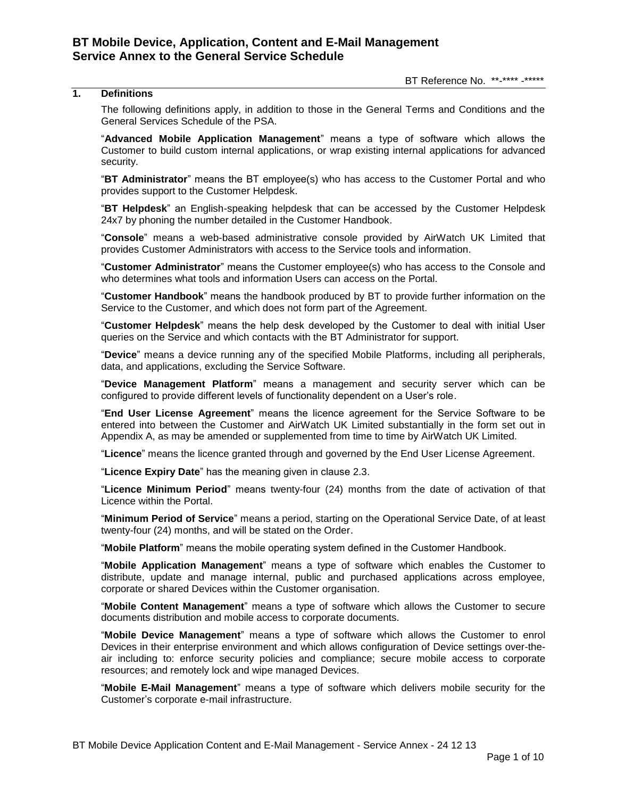### BT Reference No. \*\*-\*\*\*\* -\*\*\*\*\*

## **1. Definitions**

The following definitions apply, in addition to those in the General Terms and Conditions and the General Services Schedule of the PSA.

"**Advanced Mobile Application Management**" means a type of software which allows the Customer to build custom internal applications, or wrap existing internal applications for advanced security.

"**BT Administrator**" means the BT employee(s) who has access to the Customer Portal and who provides support to the Customer Helpdesk.

"**BT Helpdesk**" an English-speaking helpdesk that can be accessed by the Customer Helpdesk 24x7 by phoning the number detailed in the Customer Handbook.

"**Console**" means a web-based administrative console provided by AirWatch UK Limited that provides Customer Administrators with access to the Service tools and information.

"**Customer Administrator**" means the Customer employee(s) who has access to the Console and who determines what tools and information Users can access on the Portal.

"**Customer Handbook**" means the handbook produced by BT to provide further information on the Service to the Customer, and which does not form part of the Agreement.

"**Customer Helpdesk**" means the help desk developed by the Customer to deal with initial User queries on the Service and which contacts with the BT Administrator for support.

"**Device**" means a device running any of the specified Mobile Platforms, including all peripherals, data, and applications, excluding the Service Software.

"**Device Management Platform**" means a management and security server which can be configured to provide different levels of functionality dependent on a User's role.

"**End User License Agreement**" means the licence agreement for the Service Software to be entered into between the Customer and AirWatch UK Limited substantially in the form set out in Appendix A, as may be amended or supplemented from time to time by AirWatch UK Limited.

"**Licence**" means the licence granted through and governed by the End User License Agreement.

"**Licence Expiry Date**" has the meaning given in clause [2.3.](#page-1-0)

"**Licence Minimum Period**" means twenty-four (24) months from the date of activation of that Licence within the Portal.

"**Minimum Period of Service**" means a period, starting on the Operational Service Date, of at least twenty-four (24) months, and will be stated on the Order.

"**Mobile Platform**" means the mobile operating system defined in the Customer Handbook.

"**Mobile Application Management**" means a type of software which enables the Customer to distribute, update and manage internal, public and purchased applications across employee, corporate or shared Devices within the Customer organisation.

"**Mobile Content Management**" means a type of software which allows the Customer to secure documents distribution and mobile access to corporate documents.

"**Mobile Device Management**" means a type of software which allows the Customer to enrol Devices in their enterprise environment and which allows configuration of Device settings over-theair including to: enforce security policies and compliance; secure mobile access to corporate resources; and remotely lock and wipe managed Devices.

"**Mobile E-Mail Management**" means a type of software which delivers mobile security for the Customer's corporate e-mail infrastructure.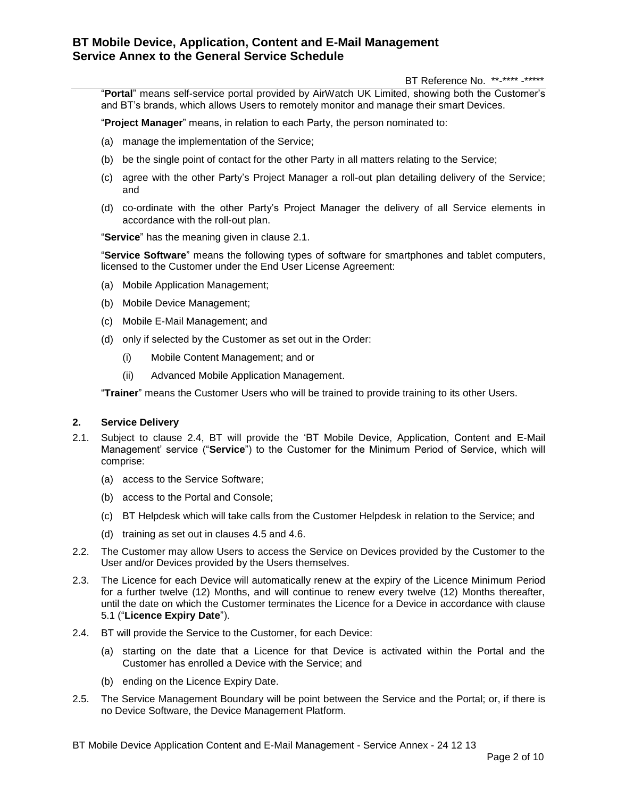BT Reference No. \*\*-\*\*\*\* -\*\*\*\*\*

"**Portal**" means self-service portal provided by AirWatch UK Limited, showing both the Customer's and BT's brands, which allows Users to remotely monitor and manage their smart Devices.

"**Project Manager**" means, in relation to each Party, the person nominated to:

- (a) manage the implementation of the Service;
- (b) be the single point of contact for the other Party in all matters relating to the Service;
- (c) agree with the other Party's Project Manager a roll-out plan detailing delivery of the Service; and
- (d) co-ordinate with the other Party's Project Manager the delivery of all Service elements in accordance with the roll-out plan.

"**Service**" has the meaning given in clause [2.1.](#page-1-1)

"**Service Software**" means the following types of software for smartphones and tablet computers, licensed to the Customer under the End User License Agreement:

- (a) Mobile Application Management;
- (b) Mobile Device Management;
- (c) Mobile E-Mail Management; and
- (d) only if selected by the Customer as set out in the Order:
	- (i) Mobile Content Management; and or
	- (ii) Advanced Mobile Application Management.

"**Trainer**" means the Customer Users who will be trained to provide training to its other Users.

## **2. Service Delivery**

- <span id="page-1-1"></span>2.1. Subject to clause [2.4,](#page-1-2) BT will provide the 'BT Mobile Device, Application, Content and E-Mail Management' service ("**Service**") to the Customer for the Minimum Period of Service, which will comprise:
	- (a) access to the Service Software;
	- (b) access to the Portal and Console;
	- (c) BT Helpdesk which will take calls from the Customer Helpdesk in relation to the Service; and
	- (d) training as set out in clauses [4.5](#page-2-0) and [4.6.](#page-2-1)
- 2.2. The Customer may allow Users to access the Service on Devices provided by the Customer to the User and/or Devices provided by the Users themselves.
- <span id="page-1-0"></span>2.3. The Licence for each Device will automatically renew at the expiry of the Licence Minimum Period for a further twelve (12) Months, and will continue to renew every twelve (12) Months thereafter, until the date on which the Customer terminates the Licence for a Device in accordance with clause [5.1](#page-3-0) ("**Licence Expiry Date**").
- <span id="page-1-2"></span>2.4. BT will provide the Service to the Customer, for each Device:
	- (a) starting on the date that a Licence for that Device is activated within the Portal and the Customer has enrolled a Device with the Service; and
	- (b) ending on the Licence Expiry Date.
- 2.5. The Service Management Boundary will be point between the Service and the Portal; or, if there is no Device Software, the Device Management Platform.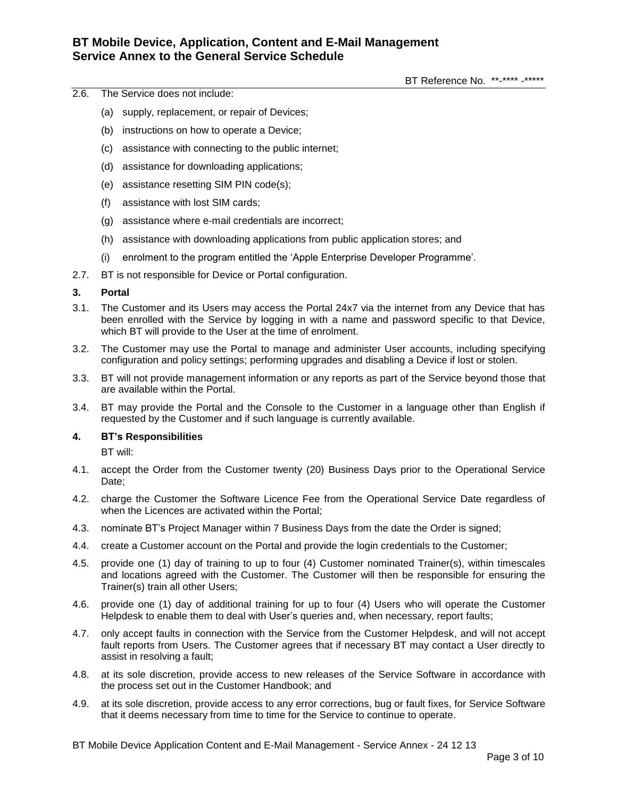- 2.6. The Service does not include:
	- (a) supply, replacement, or repair of Devices;
	- (b) instructions on how to operate a Device;
	- (c) assistance with connecting to the public internet;
	- (d) assistance for downloading applications;
	- (e) assistance resetting SIM PIN code(s);
	- (f) assistance with lost SIM cards;
	- (g) assistance where e-mail credentials are incorrect;
	- (h) assistance with downloading applications from public application stores; and
	- (i) enrolment to the program entitled the 'Apple Enterprise Developer Programme'.
- 2.7. BT is not responsible for Device or Portal configuration.

## **3. Portal**

- 3.1. The Customer and its Users may access the Portal 24x7 via the internet from any Device that has been enrolled with the Service by logging in with a name and password specific to that Device, which BT will provide to the User at the time of enrolment.
- 3.2. The Customer may use the Portal to manage and administer User accounts, including specifying configuration and policy settings; performing upgrades and disabling a Device if lost or stolen.
- 3.3. BT will not provide management information or any reports as part of the Service beyond those that are available within the Portal.
- 3.4. BT may provide the Portal and the Console to the Customer in a language other than English if requested by the Customer and if such language is currently available.

## **4. BT's Responsibilities**

BT will:

- 4.1. accept the Order from the Customer twenty (20) Business Days prior to the Operational Service Date;
- 4.2. charge the Customer the Software Licence Fee from the Operational Service Date regardless of when the Licences are activated within the Portal;
- 4.3. nominate BT's Project Manager within 7 Business Days from the date the Order is signed;
- 4.4. create a Customer account on the Portal and provide the login credentials to the Customer;
- <span id="page-2-0"></span>4.5. provide one (1) day of training to up to four (4) Customer nominated Trainer(s), within timescales and locations agreed with the Customer. The Customer will then be responsible for ensuring the Trainer(s) train all other Users;
- <span id="page-2-1"></span>4.6. provide one (1) day of additional training for up to four (4) Users who will operate the Customer Helpdesk to enable them to deal with User's queries and, when necessary, report faults;
- 4.7. only accept faults in connection with the Service from the Customer Helpdesk, and will not accept fault reports from Users. The Customer agrees that if necessary BT may contact a User directly to assist in resolving a fault;
- 4.8. at its sole discretion, provide access to new releases of the Service Software in accordance with the process set out in the Customer Handbook; and
- 4.9. at its sole discretion, provide access to any error corrections, bug or fault fixes, for Service Software that it deems necessary from time to time for the Service to continue to operate.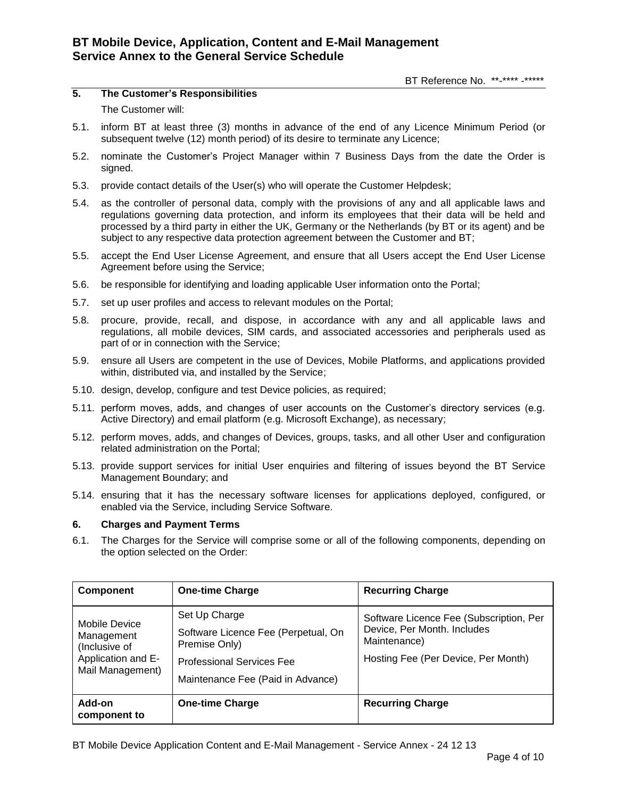## **5. The Customer's Responsibilities** The Customer will:

- <span id="page-3-0"></span>5.1. inform BT at least three (3) months in advance of the end of any Licence Minimum Period (or subsequent twelve (12) month period) of its desire to terminate any Licence;
- 5.2. nominate the Customer's Project Manager within 7 Business Days from the date the Order is signed.
- 5.3. provide contact details of the User(s) who will operate the Customer Helpdesk;
- 5.4. as the controller of personal data, comply with the provisions of any and all applicable laws and regulations governing data protection, and inform its employees that their data will be held and processed by a third party in either the UK, Germany or the Netherlands (by BT or its agent) and be subject to any respective data protection agreement between the Customer and BT;
- 5.5. accept the End User License Agreement, and ensure that all Users accept the End User License Agreement before using the Service;
- 5.6. be responsible for identifying and loading applicable User information onto the Portal;
- 5.7. set up user profiles and access to relevant modules on the Portal;
- 5.8. procure, provide, recall, and dispose, in accordance with any and all applicable laws and regulations, all mobile devices, SIM cards, and associated accessories and peripherals used as part of or in connection with the Service;
- 5.9. ensure all Users are competent in the use of Devices, Mobile Platforms, and applications provided within, distributed via, and installed by the Service;
- 5.10. design, develop, configure and test Device policies, as required;
- 5.11. perform moves, adds, and changes of user accounts on the Customer's directory services (e.g. Active Directory) and email platform (e.g. Microsoft Exchange), as necessary;
- 5.12. perform moves, adds, and changes of Devices, groups, tasks, and all other User and configuration related administration on the Portal;
- 5.13. provide support services for initial User enquiries and filtering of issues beyond the BT Service Management Boundary; and
- 5.14. ensuring that it has the necessary software licenses for applications deployed, configured, or enabled via the Service, including Service Software.

## **6. Charges and Payment Terms**

6.1. The Charges for the Service will comprise some or all of the following components, depending on the option selected on the Order:

| <b>Component</b>                                                                       | <b>One-time Charge</b>                                                                                                                         | <b>Recurring Charge</b>                                                                                                       |
|----------------------------------------------------------------------------------------|------------------------------------------------------------------------------------------------------------------------------------------------|-------------------------------------------------------------------------------------------------------------------------------|
| Mobile Device<br>Management<br>(Inclusive of<br>Application and E-<br>Mail Management) | Set Up Charge<br>Software Licence Fee (Perpetual, On<br>Premise Only)<br><b>Professional Services Fee</b><br>Maintenance Fee (Paid in Advance) | Software Licence Fee (Subscription, Per<br>Device, Per Month. Includes<br>Maintenance)<br>Hosting Fee (Per Device, Per Month) |
| Add-on<br>component to                                                                 | <b>One-time Charge</b>                                                                                                                         | <b>Recurring Charge</b>                                                                                                       |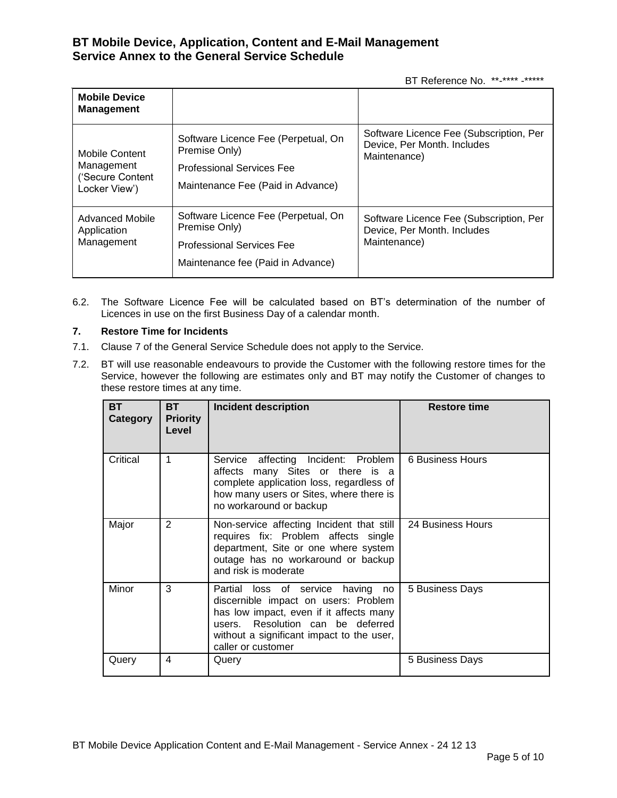BT Reference No. \*\*-\*\*\*\* -\*\*\*\*\*

| <b>Mobile Device</b><br><b>Management</b>                         |                                                                                                                               |                                                                                        |
|-------------------------------------------------------------------|-------------------------------------------------------------------------------------------------------------------------------|----------------------------------------------------------------------------------------|
| Mobile Content<br>Management<br>('Secure Content<br>Locker View') | Software Licence Fee (Perpetual, On<br>Premise Only)<br><b>Professional Services Fee</b><br>Maintenance Fee (Paid in Advance) | Software Licence Fee (Subscription, Per<br>Device, Per Month. Includes<br>Maintenance) |
| Advanced Mobile<br>Application<br>Management                      | Software Licence Fee (Perpetual, On<br>Premise Only)<br><b>Professional Services Fee</b><br>Maintenance fee (Paid in Advance) | Software Licence Fee (Subscription, Per<br>Device, Per Month. Includes<br>Maintenance) |

6.2. The Software Licence Fee will be calculated based on BT's determination of the number of Licences in use on the first Business Day of a calendar month.

## **7. Restore Time for Incidents**

- 7.1. Clause 7 of the General Service Schedule does not apply to the Service.
- 7.2. BT will use reasonable endeavours to provide the Customer with the following restore times for the Service, however the following are estimates only and BT may notify the Customer of changes to these restore times at any time.

| <b>BT</b><br>Category | <b>BT</b><br><b>Priority</b><br>Level | <b>Incident description</b>                                                                                                                                                                                                  | <b>Restore time</b> |
|-----------------------|---------------------------------------|------------------------------------------------------------------------------------------------------------------------------------------------------------------------------------------------------------------------------|---------------------|
| Critical              | 1                                     | Service affecting Incident: Problem<br>affects many Sites or there is a<br>complete application loss, regardless of<br>how many users or Sites, where there is<br>no workaround or backup                                    | 6 Business Hours    |
| Major                 | $\mathbf{2}$                          | Non-service affecting Incident that still<br>requires fix: Problem affects single<br>department, Site or one where system<br>outage has no workaround or backup<br>and risk is moderate                                      | 24 Business Hours   |
| Minor                 | 3                                     | Partial loss of service having no<br>discernible impact on users: Problem<br>has low impact, even if it affects many<br>users. Resolution can be deferred<br>without a significant impact to the user,<br>caller or customer | 5 Business Days     |
| Query                 | 4                                     | Query                                                                                                                                                                                                                        | 5 Business Days     |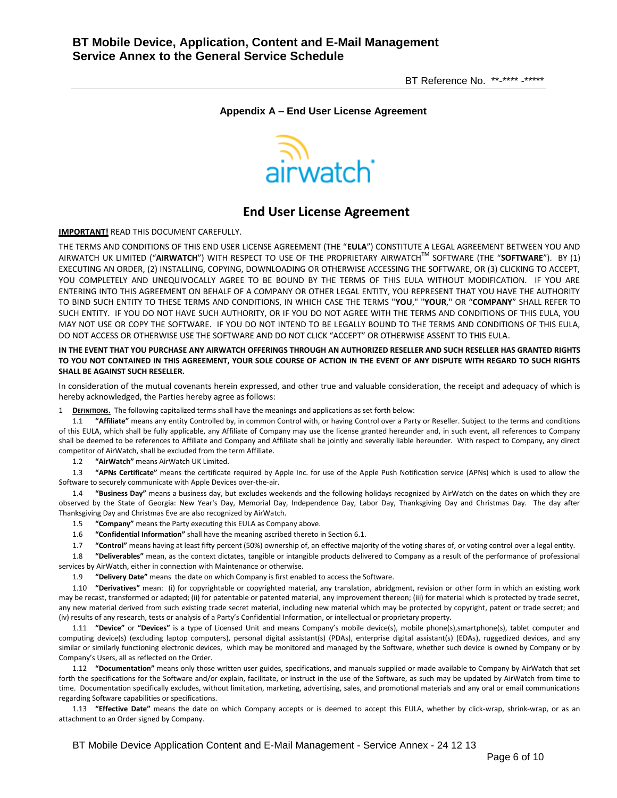BT Reference No. \*\*-\*\*\*\* -\*\*\*\*\*

### **Appendix A – End User License Agreement**



# **End User License Agreement**

**IMPORTANT!** READ THIS DOCUMENT CAREFULLY.

THE TERMS AND CONDITIONS OF THIS END USER LICENSE AGREEMENT (THE "**EULA**") CONSTITUTE A LEGAL AGREEMENT BETWEEN YOU AND AIRWATCH UK LIMITED ("**AIRWATCH**") WITH RESPECT TO USE OF THE PROPRIETARY AIRWATCHTM SOFTWARE (THE "**SOFTWARE**"). BY (1) EXECUTING AN ORDER, (2) INSTALLING, COPYING, DOWNLOADING OR OTHERWISE ACCESSING THE SOFTWARE, OR (3) CLICKING TO ACCEPT, YOU COMPLETELY AND UNEQUIVOCALLY AGREE TO BE BOUND BY THE TERMS OF THIS EULA WITHOUT MODIFICATION. IF YOU ARE ENTERING INTO THIS AGREEMENT ON BEHALF OF A COMPANY OR OTHER LEGAL ENTITY, YOU REPRESENT THAT YOU HAVE THE AUTHORITY TO BIND SUCH ENTITY TO THESE TERMS AND CONDITIONS, IN WHICH CASE THE TERMS "**YOU**," "**YOUR**," OR "**COMPANY**" SHALL REFER TO SUCH ENTITY. IF YOU DO NOT HAVE SUCH AUTHORITY, OR IF YOU DO NOT AGREE WITH THE TERMS AND CONDITIONS OF THIS EULA, YOU MAY NOT USE OR COPY THE SOFTWARE. IF YOU DO NOT INTEND TO BE LEGALLY BOUND TO THE TERMS AND CONDITIONS OF THIS EULA, DO NOT ACCESS OR OTHERWISE USE THE SOFTWARE AND DO NOT CLICK "ACCEPT" OR OTHERWISE ASSENT TO THIS EULA.

### **IN THE EVENT THAT YOU PURCHASE ANY AIRWATCH OFFERINGS THROUGH AN AUTHORIZED RESELLER AND SUCH RESELLER HAS GRANTED RIGHTS TO YOU NOT CONTAINED IN THIS AGREEMENT, YOUR SOLE COURSE OF ACTION IN THE EVENT OF ANY DISPUTE WITH REGARD TO SUCH RIGHTS SHALL BE AGAINST SUCH RESELLER.**

In consideration of the mutual covenants herein expressed, and other true and valuable consideration, the receipt and adequacy of which is hereby acknowledged, the Parties hereby agree as follows:

1 **DEFINITIONS.** The following capitalized terms shall have the meanings and applications as set forth below:

1.1 **"Affiliate"** means any entity Controlled by, in common Control with, or having Control over a Party or Reseller. Subject to the terms and conditions of this EULA, which shall be fully applicable, any Affiliate of Company may use the license granted hereunder and, in such event, all references to Company shall be deemed to be references to Affiliate and Company and Affiliate shall be jointly and severally liable hereunder. With respect to Company, any direct competitor of AirWatch, shall be excluded from the term Affiliate.

1.2 **"AirWatch"** means AirWatch UK Limited.

1.3 **"APNs Certificate"** means the certificate required by Apple Inc. for use of the Apple Push Notification service (APNs) which is used to allow the Software to securely communicate with Apple Devices over-the-air.

1.4 **"Business Day"** means a business day, but excludes weekends and the following holidays recognized by AirWatch on the dates on which they are observed by the State of Georgia: New Year's Day, Memorial Day, Independence Day, Labor Day, Thanksgiving Day and Christmas Day. The day after Thanksgiving Day and Christmas Eve are also recognized by AirWatch.

1.5 **"Company"** means the Party executing this EULA as Company above.

1.6 **"Confidential Information"** shall have the meaning ascribed thereto in Sectio[n 6.1.](#page-7-0)

1.7 **"Control"** means having at least fifty percent (50%) ownership of, an effective majority of the voting shares of, or voting control over a legal entity.

1.8 **"Deliverables"** mean, as the context dictates, tangible or intangible products delivered to Company as a result of the performance of professional services by AirWatch, either in connection with Maintenance or otherwise.

1.9 **"Delivery Date"** means the date on which Company is first enabled to access the Software.

1.10 **"Derivatives"** mean: (i) for copyrightable or copyrighted material, any translation, abridgment, revision or other form in which an existing work may be recast, transformed or adapted; (ii) for patentable or patented material, any improvement thereon; (iii) for material which is protected by trade secret, any new material derived from such existing trade secret material, including new material which may be protected by copyright, patent or trade secret; and (iv) results of any research, tests or analysis of a Party's Confidential Information, or intellectual or proprietary property.

1.11 **"Device"** or **"Devices"** is a type of Licensed Unit and means Company's mobile device(s), mobile phone(s),smartphone(s), tablet computer and computing device(s) (excluding laptop computers), personal digital assistant(s) (PDAs), enterprise digital assistant(s) (EDAs), ruggedized devices, and any similar or similarly functioning electronic devices, which may be monitored and managed by the Software, whether such device is owned by Company or by Company's Users, all as reflected on the Order.

1.12 **"Documentation"** means only those written user guides, specifications, and manuals supplied or made available to Company by AirWatch that set forth the specifications for the Software and/or explain, facilitate, or instruct in the use of the Software, as such may be updated by AirWatch from time to time. Documentation specifically excludes, without limitation, marketing, advertising, sales, and promotional materials and any oral or email communications regarding Software capabilities or specifications.

1.13 **"Effective Date"** means the date on which Company accepts or is deemed to accept this EULA, whether by click-wrap, shrink-wrap, or as an attachment to an Order signed by Company.

BT Mobile Device Application Content and E-Mail Management - Service Annex - 24 12 13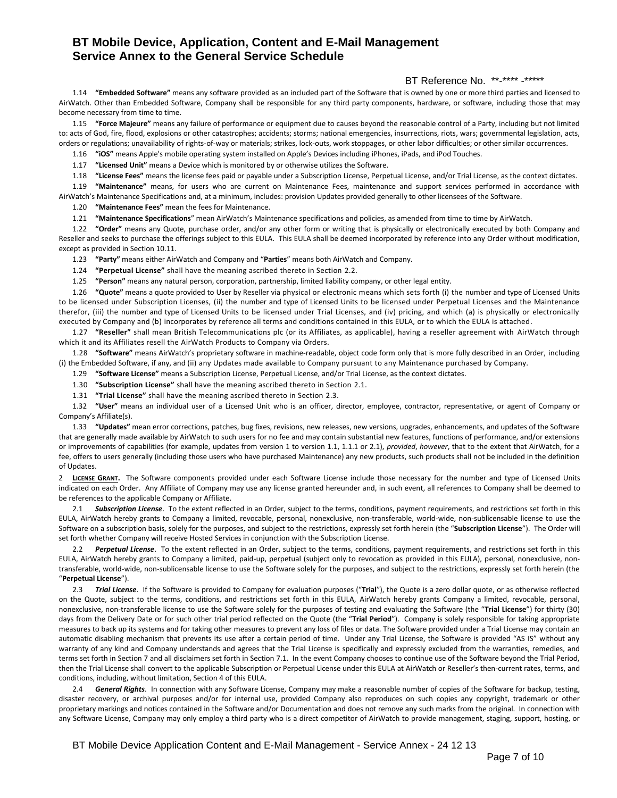## BT Reference No. \*\*-\*\*\*\* -\*\*\*\*\*

1.14 **"Embedded Software"** means any software provided as an included part of the Software that is owned by one or more third parties and licensed to AirWatch. Other than Embedded Software, Company shall be responsible for any third party components, hardware, or software, including those that may become necessary from time to time.

1.15 **"Force Majeure"** means any failure of performance or equipment due to causes beyond the reasonable control of a Party, including but not limited to: acts of God, fire, flood, explosions or other catastrophes; accidents; storms; national emergencies, insurrections, riots, wars; governmental legislation, acts, orders or regulations; unavailability of rights-of-way or materials; strikes, lock-outs, work stoppages, or other labor difficulties; or other similar occurrences.

1.16 **"iOS"** means Apple's mobile operating system installed on Apple's Devices including iPhones, iPads, and iPod Touches.

1.17 **"Licensed Unit"** means a Device which is monitored by or otherwise utilizes the Software.

1.18 **"License Fees"** means the license fees paid or payable under a Subscription License, Perpetual License, and/or Trial License, as the context dictates.

1.19 **"Maintenance"** means, for users who are current on Maintenance Fees, maintenance and support services performed in accordance with AirWatch's Maintenance Specifications and, at a minimum, includes: provision Updates provided generally to other licensees of the Software.

1.20 **"Maintenance Fees"** mean the fees for Maintenance.

1.21 **"Maintenance Specifications**" mean AirWatch's Maintenance specifications and policies, as amended from time to time by AirWatch.

1.22 **"Order"** means any Quote, purchase order, and/or any other form or writing that is physically or electronically executed by both Company and Reseller and seeks to purchase the offerings subject to this EULA. This EULA shall be deemed incorporated by reference into any Order without modification, except as provided in Sectio[n 10.11.](#page-9-0) 

1.23 **"Party"** means either AirWatch and Company and "**Parties**" means both AirWatch and Company.

1.24 **"Perpetual License"** shall have the meaning ascribed thereto in Section [2.2.](#page-6-0)

1.25 **"Person"** means any natural person, corporation, partnership, limited liability company, or other legal entity.

1.26 **"Quote"** means a quote provided to User by Reseller via physical or electronic means which sets forth (i) the number and type of Licensed Units to be licensed under Subscription Licenses, (ii) the number and type of Licensed Units to be licensed under Perpetual Licenses and the Maintenance therefor, (iii) the number and type of Licensed Units to be licensed under Trial Licenses, and (iv) pricing, and which (a) is physically or electronically executed by Company and (b) incorporates by reference all terms and conditions contained in this EULA, or to which the EULA is attached.

1.27 **"Reseller"** shall mean British Telecommunications plc (or its Affiliates, as applicable), having a reseller agreement with AirWatch through which it and its Affiliates resell the AirWatch Products to Company via Orders.

1.28 **"Software"** means AirWatch's proprietary software in machine-readable, object code form only that is more fully described in an Order, including (i) the Embedded Software, if any, and (ii) any Updates made available to Company pursuant to any Maintenance purchased by Company.

1.29 **"Software License"** means a Subscription License, Perpetual License, and/or Trial License, as the context dictates.

1.30 **"Subscription License"** shall have the meaning ascribed thereto in Section [2.1.](#page-6-1)

1.31 **"Trial License"** shall have the meaning ascribed thereto in Section [2.3.](#page-6-2)

1.32 **"User"** means an individual user of a Licensed Unit who is an officer, director, employee, contractor, representative, or agent of Company or Company's Affiliate(s).

1.33 **"Updates"** mean error corrections, patches, bug fixes, revisions, new releases, new versions, upgrades, enhancements, and updates of the Software that are generally made available by AirWatch to such users for no fee and may contain substantial new features, functions of performance, and/or extensions or improvements of capabilities (for example, updates from version 1 to version 1.1, 1.1.1 or 2.1), *provided*, *however*, that to the extent that AirWatch, for a fee, offers to users generally (including those users who have purchased Maintenance) any new products, such products shall not be included in the definition of Updates.

2 **LICENSE GRANT.** The Software components provided under each Software License include those necessary for the number and type of Licensed Units indicated on each Order. Any Affiliate of Company may use any license granted hereunder and, in such event, all references to Company shall be deemed to be references to the applicable Company or Affiliate.

<span id="page-6-1"></span>2.1 **Subscription License**. To the extent reflected in an Order, subject to the terms, conditions, payment requirements, and restrictions set forth in this EULA, AirWatch hereby grants to Company a limited, revocable, personal, nonexclusive, non-transferable, world-wide, non-sublicensable license to use the Software on a subscription basis, solely for the purposes, and subject to the restrictions, expressly set forth herein (the "**Subscription License**"). The Order will set forth whether Company will receive Hosted Services in conjunction with the Subscription License.

<span id="page-6-0"></span>2.2 *Perpetual License*. To the extent reflected in an Order, subject to the terms, conditions, payment requirements, and restrictions set forth in this EULA, AirWatch hereby grants to Company a limited, paid-up, perpetual (subject only to revocation as provided in this EULA), personal, nonexclusive, nontransferable, world-wide, non-sublicensable license to use the Software solely for the purposes, and subject to the restrictions, expressly set forth herein (the "**Perpetual License**").

<span id="page-6-2"></span>2.3 *Trial License*. If the Software is provided to Company for evaluation purposes ("**Trial**"), the Quote is a zero dollar quote, or as otherwise reflected on the Quote, subject to the terms, conditions, and restrictions set forth in this EULA, AirWatch hereby grants Company a limited, revocable, personal, nonexclusive, non-transferable license to use the Software solely for the purposes of testing and evaluating the Software (the "**Trial License**") for thirty (30) days from the Delivery Date or for such other trial period reflected on the Quote (the "**Trial Period**"). Company is solely responsible for taking appropriate measures to back up its systems and for taking other measures to prevent any loss of files or data. The Software provided under a Trial License may contain an automatic disabling mechanism that prevents its use after a certain period of time. Under any Trial License, the Software is provided "AS IS" without any warranty of any kind and Company understands and agrees that the Trial License is specifically and expressly excluded from the warranties, remedies, and terms set forth in Section [7](#page-8-0) and all disclaimers set forth in Sectio[n 7.1.](#page-8-1) In the event Company chooses to continue use of the Software beyond the Trial Period, then the Trial License shall convert to the applicable Subscription or Perpetual License under this EULA at AirWatch or Reseller's then-current rates, terms, and conditions, including, without limitation, Section [4](#page-7-1) of this EULA.

2.4 *General Rights*. In connection with any Software License, Company may make a reasonable number of copies of the Software for backup, testing, disaster recovery, or archival purposes and/or for internal use, provided Company also reproduces on such copies any copyright, trademark or other proprietary markings and notices contained in the Software and/or Documentation and does not remove any such marks from the original. In connection with any Software License, Company may only employ a third party who is a direct competitor of AirWatch to provide management, staging, support, hosting, or

BT Mobile Device Application Content and E-Mail Management - Service Annex - 24 12 13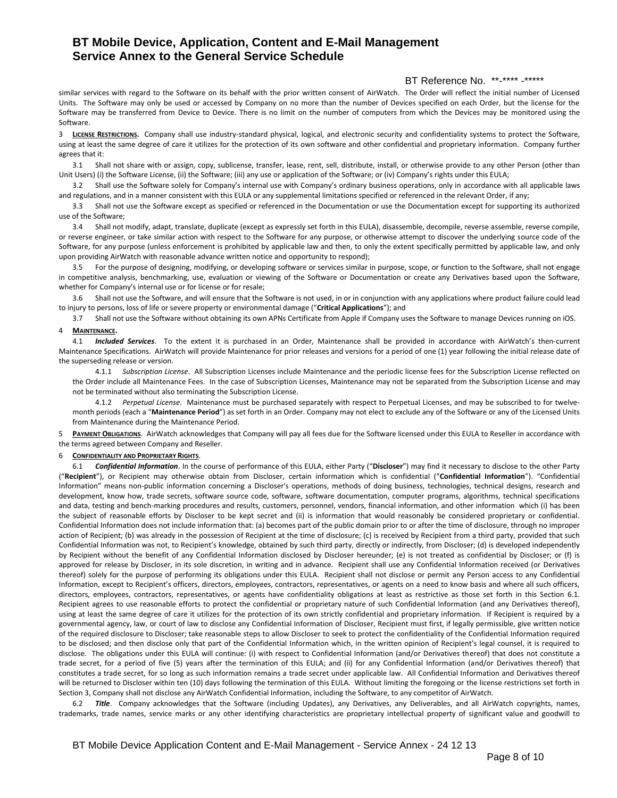## BT Reference No. \*\*-\*\*\*\* -\*\*\*\*\*

similar services with regard to the Software on its behalf with the prior written consent of AirWatch. The Order will reflect the initial number of Licensed Units. The Software may only be used or accessed by Company on no more than the number of Devices specified on each Order, but the license for the Software may be transferred from Device to Device. There is no limit on the number of computers from which the Devices may be monitored using the Software.

<span id="page-7-2"></span>3 **LICENSE RESTRICTIONS.** Company shall use industry-standard physical, logical, and electronic security and confidentiality systems to protect the Software, using at least the same degree of care it utilizes for the protection of its own software and other confidential and proprietary information. Company further agrees that it:

3.1 Shall not share with or assign, copy, sublicense, transfer, lease, rent, sell, distribute, install, or otherwise provide to any other Person (other than Unit Users) (i) the Software License, (ii) the Software; (iii) any use or application of the Software; or (iv) Company's rights under this EULA;

3.2 Shall use the Software solely for Company's internal use with Company's ordinary business operations, only in accordance with all applicable laws and regulations, and in a manner consistent with this EULA or any supplemental limitations specified or referenced in the relevant Order, if any;

3.3 Shall not use the Software except as specified or referenced in the Documentation or use the Documentation except for supporting its authorized use of the Software;

3.4 Shall not modify, adapt, translate, duplicate (except as expressly set forth in this EULA), disassemble, decompile, reverse assemble, reverse compile, or reverse engineer, or take similar action with respect to the Software for any purpose, or otherwise attempt to discover the underlying source code of the Software, for any purpose (unless enforcement is prohibited by applicable law and then, to only the extent specifically permitted by applicable law, and only upon providing AirWatch with reasonable advance written notice and opportunity to respond);

3.5 For the purpose of designing, modifying, or developing software or services similar in purpose, scope, or function to the Software, shall not engage in competitive analysis, benchmarking, use, evaluation or viewing of the Software or Documentation or create any Derivatives based upon the Software, whether for Company's internal use or for license or for resale;

3.6 Shall not use the Software, and will ensure that the Software is not used, in or in conjunction with any applications where product failure could lead to injury to persons, loss of life or severe property or environmental damage ("**Critical Applications**"); and

<span id="page-7-1"></span>3.7 Shall not use the Software without obtaining its own APNs Certificate from Apple if Company uses the Software to manage Devices running on iOS.

#### 4 **MAINTENANCE.**

4.1 *Included Services*. To the extent it is purchased in an Order, Maintenance shall be provided in accordance with AirWatch's then-current Maintenance Specifications. AirWatch will provide Maintenance for prior releases and versions for a period of one (1) year following the initial release date of the superseding release or version.

4.1.1 *Subscription License*. All Subscription Licenses include Maintenance and the periodic license fees for the Subscription License reflected on the Order include all Maintenance Fees. In the case of Subscription Licenses, Maintenance may not be separated from the Subscription License and may not be terminated without also terminating the Subscription License.

4.1.2 *Perpetual License*. Maintenance must be purchased separately with respect to Perpetual Licenses, and may be subscribed to for twelvemonth periods (each a "**Maintenance Period**") as set forth in an Order. Company may not elect to exclude any of the Software or any of the Licensed Units from Maintenance during the Maintenance Period.

5 **PAYMENT OBLIGATIONS**. AirWatch acknowledges that Company will pay all fees due for the Software licensed under this EULA to Reseller in accordance with the terms agreed between Company and Reseller.

#### <span id="page-7-3"></span>6 **CONFIDENTIALITY AND PROPRIETARY RIGHTS**.

<span id="page-7-0"></span>6.1 *Confidential Information*. In the course of performance of this EULA, either Party ("**Discloser**") may find it necessary to disclose to the other Party ("**Recipient**"), or Recipient may otherwise obtain from Discloser, certain information which is confidential ("**Confidential Information**"). "Confidential Information" means non-public information concerning a Discloser's operations, methods of doing business, technologies, technical designs, research and development, know how, trade secrets, software source code, software, software documentation, computer programs, algorithms, technical specifications and data, testing and bench-marking procedures and results, customers, personnel, vendors, financial information, and other information which (i) has been the subject of reasonable efforts by Discloser to be kept secret and (ii) is information that would reasonably be considered proprietary or confidential. Confidential Information does not include information that: (a) becomes part of the public domain prior to or after the time of disclosure, through no improper action of Recipient; (b) was already in the possession of Recipient at the time of disclosure; (c) is received by Recipient from a third party, provided that such Confidential Information was not, to Recipient's knowledge, obtained by such third party, directly or indirectly, from Discloser; (d) is developed independently by Recipient without the benefit of any Confidential Information disclosed by Discloser hereunder; (e) is not treated as confidential by Discloser; or (f) is approved for release by Discloser, in its sole discretion, in writing and in advance. Recipient shall use any Confidential Information received (or Derivatives thereof) solely for the purpose of performing its obligations under this EULA. Recipient shall not disclose or permit any Person access to any Confidential Information, except to Recipient's officers, directors, employees, contractors, representatives, or agents on a need to know basis and where all such officers, directors, employees, contractors, representatives, or agents have confidentiality obligations at least as restrictive as those set forth in this Section [6.1.](#page-7-0)  Recipient agrees to use reasonable efforts to protect the confidential or proprietary nature of such Confidential Information (and any Derivatives thereof), using at least the same degree of care it utilizes for the protection of its own strictly confidential and proprietary information. If Recipient is required by a governmental agency, law, or court of law to disclose any Confidential Information of Discloser, Recipient must first, if legally permissible, give written notice of the required disclosure to Discloser; take reasonable steps to allow Discloser to seek to protect the confidentiality of the Confidential Information required to be disclosed; and then disclose only that part of the Confidential Information which, in the written opinion of Recipient's legal counsel, it is required to disclose. The obligations under this EULA will continue: (i) with respect to Confidential Information (and/or Derivatives thereof) that does not constitute a trade secret, for a period of five (5) years after the termination of this EULA; and (ii) for any Confidential Information (and/or Derivatives thereof) that constitutes a trade secret, for so long as such information remains a trade secret under applicable law. All Confidential Information and Derivatives thereof will be returned to Discloser within ten (10) days following the termination of this EULA. Without limiting the foregoing or the license restrictions set forth in Sectio[n 3,](#page-7-2) Company shall not disclose any AirWatch Confidential Information, including the Software, to any competitor of AirWatch.

6.2 *Title*. Company acknowledges that the Software (including Updates), any Derivatives, any Deliverables, and all AirWatch copyrights, names, trademarks, trade names, service marks or any other identifying characteristics are proprietary intellectual property of significant value and goodwill to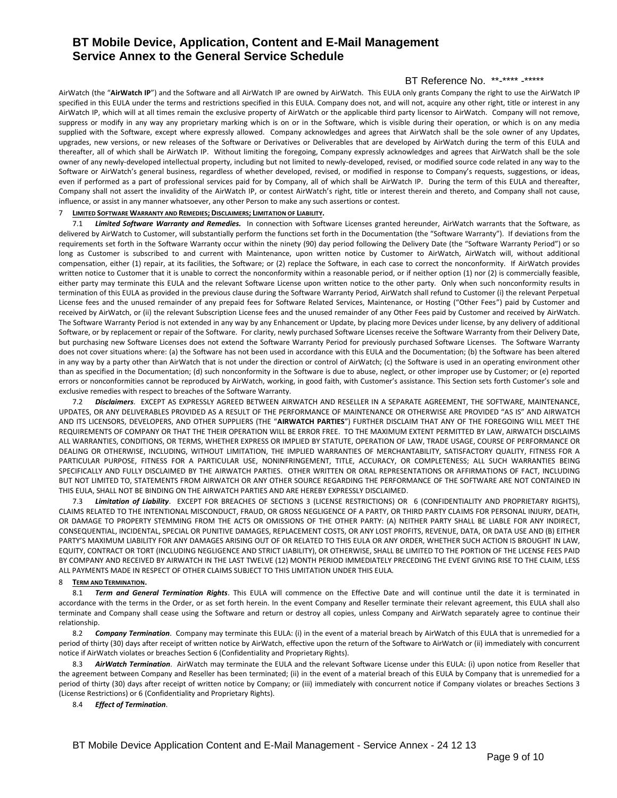## BT Reference No. \*\*-\*\*\*\* -\*\*\*\*\*

AirWatch (the "**AirWatch IP**") and the Software and all AirWatch IP are owned by AirWatch. This EULA only grants Company the right to use the AirWatch IP specified in this EULA under the terms and restrictions specified in this EULA. Company does not, and will not, acquire any other right, title or interest in any AirWatch IP, which will at all times remain the exclusive property of AirWatch or the applicable third party licensor to AirWatch. Company will not remove, suppress or modify in any way any proprietary marking which is on or in the Software, which is visible during their operation, or which is on any media supplied with the Software, except where expressly allowed. Company acknowledges and agrees that AirWatch shall be the sole owner of any Updates, upgrades, new versions, or new releases of the Software or Derivatives or Deliverables that are developed by AirWatch during the term of this EULA and thereafter, all of which shall be AirWatch IP. Without limiting the foregoing, Company expressly acknowledges and agrees that AirWatch shall be the sole owner of any newly-developed intellectual property, including but not limited to newly-developed, revised, or modified source code related in any way to the Software or AirWatch's general business, regardless of whether developed, revised, or modified in response to Company's requests, suggestions, or ideas, even if performed as a part of professional services paid for by Company, all of which shall be AirWatch IP. During the term of this EULA and thereafter, Company shall not assert the invalidity of the AirWatch IP, or contest AirWatch's right, title or interest therein and thereto, and Company shall not cause, influence, or assist in any manner whatsoever, any other Person to make any such assertions or contest.

### <span id="page-8-0"></span>7 **LIMITED SOFTWARE WARRANTY AND REMEDIES; DISCLAIMERS; LIMITATION OF LIABILITY.**

<span id="page-8-1"></span>7.1 *Limited Software Warranty and Remedies.* In connection with Software Licenses granted hereunder, AirWatch warrants that the Software, as delivered by AirWatch to Customer, will substantially perform the functions set forth in the Documentation (the "Software Warranty"). If deviations from the requirements set forth in the Software Warranty occur within the ninety (90) day period following the Delivery Date (the "Software Warranty Period") or so long as Customer is subscribed to and current with Maintenance, upon written notice by Customer to AirWatch, AirWatch will, without additional compensation, either (1) repair, at its facilities, the Software; or (2) replace the Software, in each case to correct the nonconformity. If AirWatch provides written notice to Customer that it is unable to correct the nonconformity within a reasonable period, or if neither option (1) nor (2) is commercially feasible, either party may terminate this EULA and the relevant Software License upon written notice to the other party. Only when such nonconformity results in termination of this EULA as provided in the previous clause during the Software Warranty Period, AirWatch shall refund to Customer (i) the relevant Perpetual License fees and the unused remainder of any prepaid fees for Software Related Services, Maintenance, or Hosting ("Other Fees") paid by Customer and received by AirWatch, or (ii) the relevant Subscription License fees and the unused remainder of any Other Fees paid by Customer and received by AirWatch. The Software Warranty Period is not extended in any way by any Enhancement or Update, by placing more Devices under license, by any delivery of additional Software, or by replacement or repair of the Software. For clarity, newly purchased Software Licenses receive the Software Warranty from their Delivery Date, but purchasing new Software Licenses does not extend the Software Warranty Period for previously purchased Software Licenses. The Software Warranty does not cover situations where: (a) the Software has not been used in accordance with this EULA and the Documentation; (b) the Software has been altered in any way by a party other than AirWatch that is not under the direction or control of AirWatch; (c) the Software is used in an operating environment other than as specified in the Documentation; (d) such nonconformity in the Software is due to abuse, neglect, or other improper use by Customer; or (e) reported errors or nonconformities cannot be reproduced by AirWatch, working, in good faith, with Customer's assistance. This Section sets forth Customer's sole and exclusive remedies with respect to breaches of the Software Warranty.

7.2 *Disclaimers*. EXCEPT AS EXPRESSLY AGREED BETWEEN AIRWATCH AND RESELLER IN A SEPARATE AGREEMENT, THE SOFTWARE, MAINTENANCE, UPDATES, OR ANY DELIVERABLES PROVIDED AS A RESULT OF THE PERFORMANCE OF MAINTENANCE OR OTHERWISE ARE PROVIDED "AS IS" AND AIRWATCH AND ITS LICENSORS, DEVELOPERS, AND OTHER SUPPLIERS (THE "**AIRWATCH PARTIES**") FURTHER DISCLAIM THAT ANY OF THE FOREGOING WILL MEET THE REQUIREMENTS OF COMPANY OR THAT THE THEIR OPERATION WILL BE ERROR FREE. TO THE MAXIMUM EXTENT PERMITTED BY LAW, AIRWATCH DISCLAIMS ALL WARRANTIES, CONDITIONS, OR TERMS, WHETHER EXPRESS OR IMPLIED BY STATUTE, OPERATION OF LAW, TRADE USAGE, COURSE OF PERFORMANCE OR DEALING OR OTHERWISE, INCLUDING, WITHOUT LIMITATION, THE IMPLIED WARRANTIES OF MERCHANTABILITY, SATISFACTORY QUALITY, FITNESS FOR A PARTICULAR PURPOSE, FITNESS FOR A PARTICULAR USE, NONINFRINGEMENT, TITLE, ACCURACY, OR COMPLETENESS; ALL SUCH WARRANTIES BEING SPECIFICALLY AND FULLY DISCLAIMED BY THE AIRWATCH PARTIES. OTHER WRITTEN OR ORAL REPRESENTATIONS OR AFFIRMATIONS OF FACT, INCLUDING BUT NOT LIMITED TO, STATEMENTS FROM AIRWATCH OR ANY OTHER SOURCE REGARDING THE PERFORMANCE OF THE SOFTWARE ARE NOT CONTAINED IN THIS EULA, SHALL NOT BE BINDING ON THE AIRWATCH PARTIES AND ARE HEREBY EXPRESSLY DISCLAIMED.

7.3 *Limitation of Liability*.EXCEPT FOR BREACHES OF SECTIONS [3](#page-7-2) (LICENSE RESTRICTIONS) OR [6](#page-7-3) (CONFIDENTIALITY AND PROPRIETARY RIGHTS), CLAIMS RELATED TO THE INTENTIONAL MISCONDUCT, FRAUD, OR GROSS NEGLIGENCE OF A PARTY, OR THIRD PARTY CLAIMS FOR PERSONAL INJURY, DEATH, OR DAMAGE TO PROPERTY STEMMING FROM THE ACTS OR OMISSIONS OF THE OTHER PARTY: (A) NEITHER PARTY SHALL BE LIABLE FOR ANY INDIRECT, CONSEQUENTIAL, INCIDENTAL, SPECIAL OR PUNITIVE DAMAGES, REPLACEMENT COSTS, OR ANY LOST PROFITS, REVENUE, DATA, OR DATA USE AND (B) EITHER PARTY'S MAXIMUM LIABILITY FOR ANY DAMAGES ARISING OUT OF OR RELATED TO THIS EULA OR ANY ORDER, WHETHER SUCH ACTION IS BROUGHT IN LAW, EQUITY, CONTRACT OR TORT (INCLUDING NEGLIGENCE AND STRICT LIABILITY), OR OTHERWISE, SHALL BE LIMITED TO THE PORTION OF THE LICENSE FEES PAID BY COMPANY AND RECEIVED BY AIRWATCH IN THE LAST TWELVE (12) MONTH PERIOD IMMEDIATELY PRECEDING THE EVENT GIVING RISE TO THE CLAIM, LESS ALL PAYMENTS MADE IN RESPECT OF OTHER CLAIMS SUBJECT TO THIS LIMITATION UNDER THIS EULA.

#### 8 **TERM AND TERMINATION.**

8.1 *Term and General Termination Rights*. This EULA will commence on the Effective Date and will continue until the date it is terminated in accordance with the terms in the Order, or as set forth herein. In the event Company and Reseller terminate their relevant agreement, this EULA shall also terminate and Company shall cease using the Software and return or destroy all copies, unless Company and AirWatch separately agree to continue their relationship.

8.2 *Company Termination*. Company may terminate this EULA: (i) in the event of a material breach by AirWatch of this EULA that is unremedied for a period of thirty (30) days after receipt of written notice by AirWatch, effective upon the return of the Software to AirWatch or (ii) immediately with concurrent notice if AirWatch violates or breaches Section [6](#page-7-3) (Confidentiality and Proprietary Rights).

8.3 *AirWatch Termination*. AirWatch may terminate the EULA and the relevant Software License under this EULA: (i) upon notice from Reseller that the agreement between Company and Reseller has been terminated; (ii) in the event of a material breach of this EULA by Company that is unremedied for a period of thirty (30) days after receipt of written notice by Company; or (iii) immediately with concurrent notice if Company violates or breaches Section[s 3](#page-7-2) (License Restrictions) or [6](#page-7-3) (Confidentiality and Proprietary Rights).

#### 8.4 *Effect of Termination*.